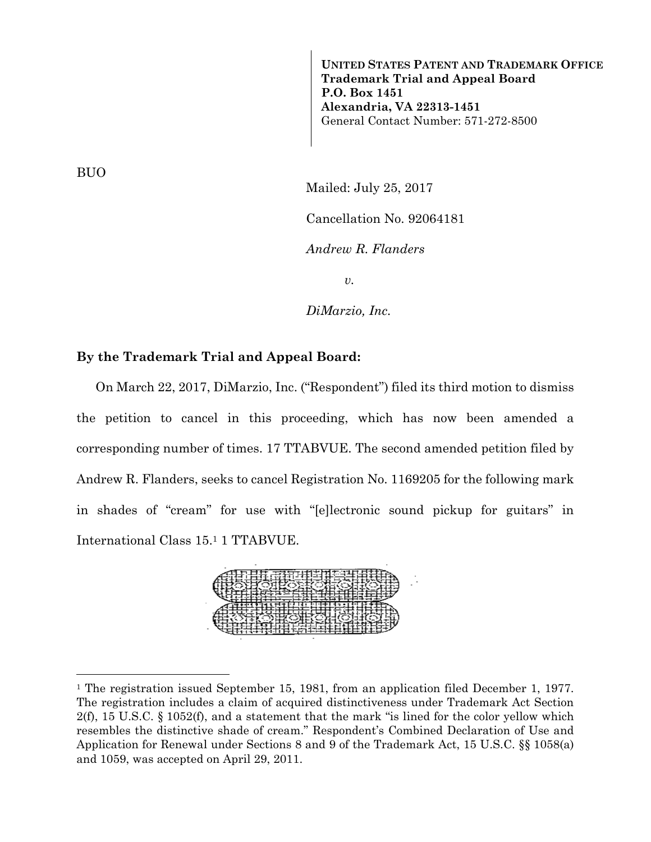**UNITED STATES PATENT AND TRADEMARK OFFICE Trademark Trial and Appeal Board P.O. Box 1451 Alexandria, VA 22313-1451**  General Contact Number: 571-272-8500

BUO

—<br>—

Mailed: July 25, 2017 Cancellation No. 92064181 *Andrew R. Flanders v.* 

*DiMarzio, Inc.* 

### **By the Trademark Trial and Appeal Board:**

 On March 22, 2017, DiMarzio, Inc. ("Respondent") filed its third motion to dismiss the petition to cancel in this proceeding, which has now been amended a corresponding number of times. 17 TTABVUE. The second amended petition filed by Andrew R. Flanders, seeks to cancel Registration No. 1169205 for the following mark in shades of "cream" for use with "[e]lectronic sound pickup for guitars" in International Class 15.1 1 TTABVUE.



<sup>&</sup>lt;sup>1</sup> The registration issued September 15, 1981, from an application filed December 1, 1977. The registration includes a claim of acquired distinctiveness under Trademark Act Section 2(f), 15 U.S.C. § 1052(f), and a statement that the mark "is lined for the color yellow which resembles the distinctive shade of cream." Respondent's Combined Declaration of Use and Application for Renewal under Sections 8 and 9 of the Trademark Act, 15 U.S.C. §§ 1058(a) and 1059, was accepted on April 29, 2011.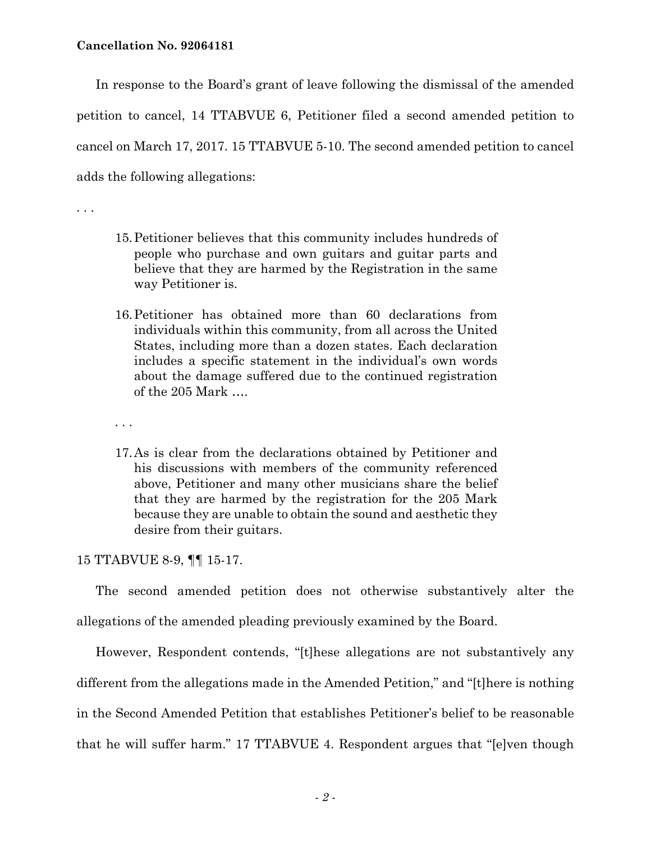In response to the Board's grant of leave following the dismissal of the amended petition to cancel, 14 TTABVUE 6, Petitioner filed a second amended petition to cancel on March 17, 2017. 15 TTABVUE 5-10. The second amended petition to cancel adds the following allegations:

. . .

- 15.Petitioner believes that this community includes hundreds of people who purchase and own guitars and guitar parts and believe that they are harmed by the Registration in the same way Petitioner is.
- 16.Petitioner has obtained more than 60 declarations from individuals within this community, from all across the United States, including more than a dozen states. Each declaration includes a specific statement in the individual's own words about the damage suffered due to the continued registration of the 205 Mark ….
- . . .
- 17.As is clear from the declarations obtained by Petitioner and his discussions with members of the community referenced above, Petitioner and many other musicians share the belief that they are harmed by the registration for the 205 Mark because they are unable to obtain the sound and aesthetic they desire from their guitars.

#### 15 TTABVUE 8-9, ¶¶ 15-17.

 The second amended petition does not otherwise substantively alter the allegations of the amended pleading previously examined by the Board.

 However, Respondent contends, "[t]hese allegations are not substantively any different from the allegations made in the Amended Petition," and "[t]here is nothing in the Second Amended Petition that establishes Petitioner's belief to be reasonable that he will suffer harm." 17 TTABVUE 4. Respondent argues that "[e]ven though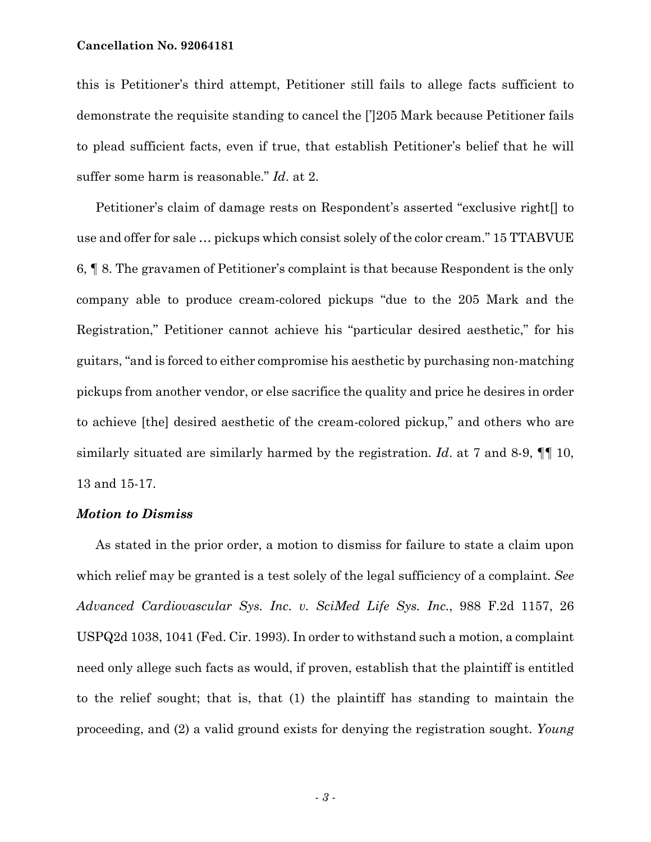#### **Cancellation No. 92064181**

this is Petitioner's third attempt, Petitioner still fails to allege facts sufficient to demonstrate the requisite standing to cancel the [']205 Mark because Petitioner fails to plead sufficient facts, even if true, that establish Petitioner's belief that he will suffer some harm is reasonable." *Id*. at 2.

 Petitioner's claim of damage rests on Respondent's asserted "exclusive right[] to use and offer for sale … pickups which consist solely of the color cream." 15 TTABVUE 6, ¶ 8. The gravamen of Petitioner's complaint is that because Respondent is the only company able to produce cream-colored pickups "due to the 205 Mark and the Registration," Petitioner cannot achieve his "particular desired aesthetic," for his guitars, "and is forced to either compromise his aesthetic by purchasing non-matching pickups from another vendor, or else sacrifice the quality and price he desires in order to achieve [the] desired aesthetic of the cream-colored pickup," and others who are similarly situated are similarly harmed by the registration. *Id*. at 7 and 8-9, ¶¶ 10, 13 and 15-17.

## *Motion to Dismiss*

 As stated in the prior order, a motion to dismiss for failure to state a claim upon which relief may be granted is a test solely of the legal sufficiency of a complaint. *See Advanced Cardiovascular Sys. Inc. v. SciMed Life Sys. Inc.*, 988 F.2d 1157, 26 USPQ2d 1038, 1041 (Fed. Cir. 1993). In order to withstand such a motion, a complaint need only allege such facts as would, if proven, establish that the plaintiff is entitled to the relief sought; that is, that (1) the plaintiff has standing to maintain the proceeding, and (2) a valid ground exists for denying the registration sought. *Young*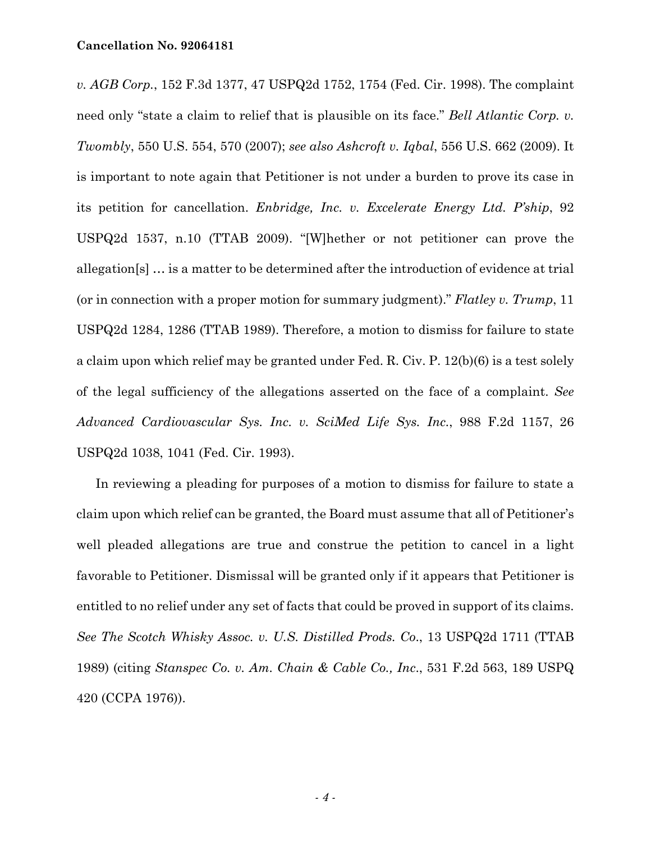*v. AGB Corp.*, 152 F.3d 1377, 47 USPQ2d 1752, 1754 (Fed. Cir. 1998). The complaint need only "state a claim to relief that is plausible on its face." *Bell Atlantic Corp. v. Twombly*, 550 U.S. 554, 570 (2007); *see also Ashcroft v. Iqbal*, 556 U.S. 662 (2009). It is important to note again that Petitioner is not under a burden to prove its case in its petition for cancellation. *Enbridge, Inc. v. Excelerate Energy Ltd. P'ship*, 92 USPQ2d 1537, n.10 (TTAB 2009). "[W]hether or not petitioner can prove the allegation[s] … is a matter to be determined after the introduction of evidence at trial (or in connection with a proper motion for summary judgment)." *Flatley v. Trump*, 11 USPQ2d 1284, 1286 (TTAB 1989). Therefore, a motion to dismiss for failure to state a claim upon which relief may be granted under Fed. R. Civ. P. 12(b)(6) is a test solely of the legal sufficiency of the allegations asserted on the face of a complaint. *See Advanced Cardiovascular Sys. Inc. v. SciMed Life Sys. Inc.*, 988 F.2d 1157, 26 USPQ2d 1038, 1041 (Fed. Cir. 1993).

 In reviewing a pleading for purposes of a motion to dismiss for failure to state a claim upon which relief can be granted, the Board must assume that all of Petitioner's well pleaded allegations are true and construe the petition to cancel in a light favorable to Petitioner. Dismissal will be granted only if it appears that Petitioner is entitled to no relief under any set of facts that could be proved in support of its claims. *See The Scotch Whisky Assoc. v. U.S. Distilled Prods. Co*., 13 USPQ2d 1711 (TTAB 1989) (citing *Stanspec Co. v. Am. Chain & Cable Co., Inc*., 531 F.2d 563, 189 USPQ 420 (CCPA 1976)).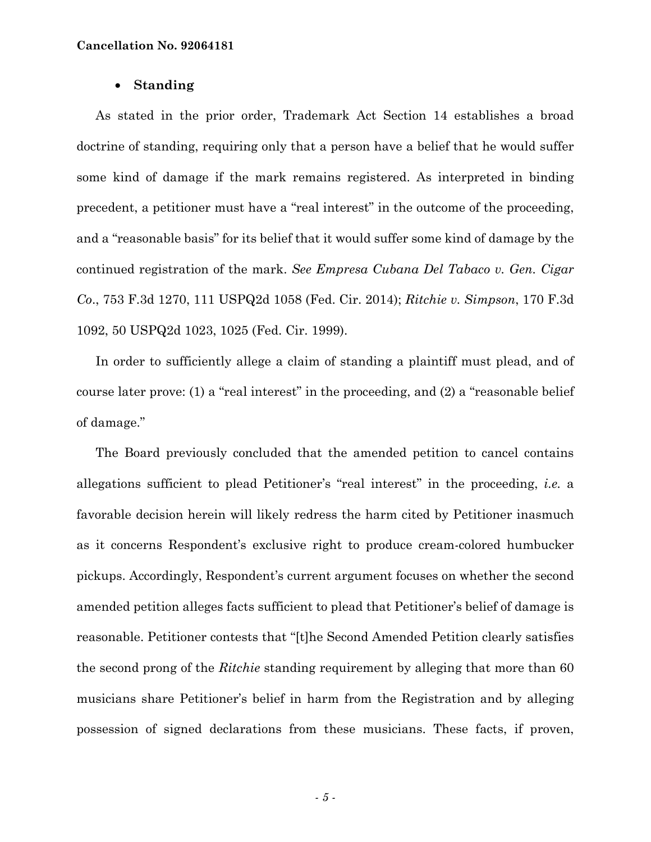### • **Standing**

 As stated in the prior order, Trademark Act Section 14 establishes a broad doctrine of standing, requiring only that a person have a belief that he would suffer some kind of damage if the mark remains registered. As interpreted in binding precedent, a petitioner must have a "real interest" in the outcome of the proceeding, and a "reasonable basis" for its belief that it would suffer some kind of damage by the continued registration of the mark. *See Empresa Cubana Del Tabaco v. Gen. Cigar Co*., 753 F.3d 1270, 111 USPQ2d 1058 (Fed. Cir. 2014); *Ritchie v. Simpson*, 170 F.3d 1092, 50 USPQ2d 1023, 1025 (Fed. Cir. 1999).

 In order to sufficiently allege a claim of standing a plaintiff must plead, and of course later prove: (1) a "real interest" in the proceeding, and (2) a "reasonable belief of damage."

 The Board previously concluded that the amended petition to cancel contains allegations sufficient to plead Petitioner's "real interest" in the proceeding, *i.e.* a favorable decision herein will likely redress the harm cited by Petitioner inasmuch as it concerns Respondent's exclusive right to produce cream-colored humbucker pickups. Accordingly, Respondent's current argument focuses on whether the second amended petition alleges facts sufficient to plead that Petitioner's belief of damage is reasonable. Petitioner contests that "[t]he Second Amended Petition clearly satisfies the second prong of the *Ritchie* standing requirement by alleging that more than 60 musicians share Petitioner's belief in harm from the Registration and by alleging possession of signed declarations from these musicians. These facts, if proven,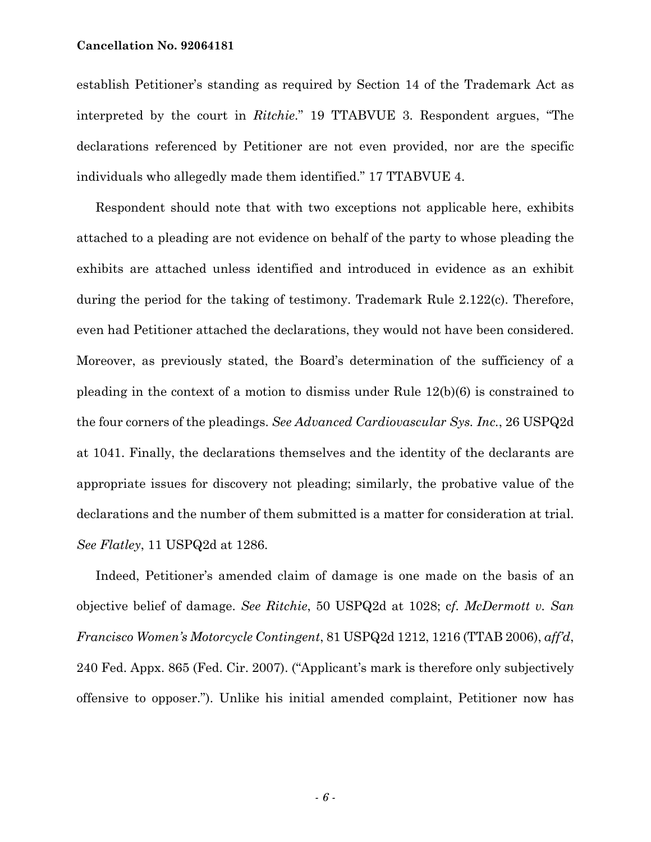#### **Cancellation No. 92064181**

establish Petitioner's standing as required by Section 14 of the Trademark Act as interpreted by the court in *Ritchie*." 19 TTABVUE 3. Respondent argues, "The declarations referenced by Petitioner are not even provided, nor are the specific individuals who allegedly made them identified." 17 TTABVUE 4.

 Respondent should note that with two exceptions not applicable here, exhibits attached to a pleading are not evidence on behalf of the party to whose pleading the exhibits are attached unless identified and introduced in evidence as an exhibit during the period for the taking of testimony. Trademark Rule 2.122(c). Therefore, even had Petitioner attached the declarations, they would not have been considered. Moreover, as previously stated, the Board's determination of the sufficiency of a pleading in the context of a motion to dismiss under Rule 12(b)(6) is constrained to the four corners of the pleadings. *See Advanced Cardiovascular Sys. Inc.*, 26 USPQ2d at 1041. Finally, the declarations themselves and the identity of the declarants are appropriate issues for discovery not pleading; similarly, the probative value of the declarations and the number of them submitted is a matter for consideration at trial. *See Flatley*, 11 USPQ2d at 1286.

 Indeed, Petitioner's amended claim of damage is one made on the basis of an objective belief of damage. *See Ritchie*, 50 USPQ2d at 1028; c*f. McDermott v. San Francisco Women's Motorcycle Contingent*, 81 USPQ2d 1212, 1216 (TTAB 2006), *aff'd*, 240 Fed. Appx. 865 (Fed. Cir. 2007). ("Applicant's mark is therefore only subjectively offensive to opposer."). Unlike his initial amended complaint, Petitioner now has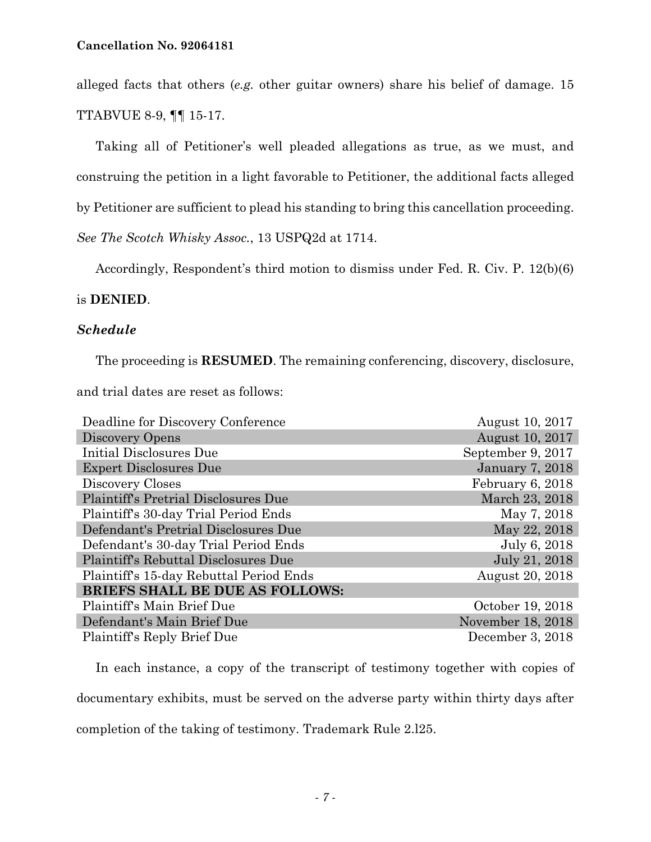alleged facts that others (*e.g.* other guitar owners) share his belief of damage. 15 TTABVUE 8-9, ¶¶ 15-17.

 Taking all of Petitioner's well pleaded allegations as true, as we must, and construing the petition in a light favorable to Petitioner, the additional facts alleged by Petitioner are sufficient to plead his standing to bring this cancellation proceeding. *See The Scotch Whisky Assoc.*, 13 USPQ2d at 1714.

Accordingly, Respondent's third motion to dismiss under Fed. R. Civ. P. 12(b)(6)

# is **DENIED**.

# *Schedule*

 The proceeding is **RESUMED**. The remaining conferencing, discovery, disclosure, and trial dates are reset as follows:

| Deadline for Discovery Conference       | August 10, 2017   |
|-----------------------------------------|-------------------|
| Discovery Opens                         | August 10, 2017   |
| Initial Disclosures Due                 | September 9, 2017 |
| <b>Expert Disclosures Due</b>           | January 7, 2018   |
| Discovery Closes                        | February 6, 2018  |
| Plaintiff's Pretrial Disclosures Due    | March 23, 2018    |
| Plaintiff's 30-day Trial Period Ends    | May 7, 2018       |
| Defendant's Pretrial Disclosures Due    | May 22, 2018      |
| Defendant's 30-day Trial Period Ends    | July 6, 2018      |
| Plaintiff's Rebuttal Disclosures Due    | July 21, 2018     |
| Plaintiff's 15-day Rebuttal Period Ends | August 20, 2018   |
| <b>BRIEFS SHALL BE DUE AS FOLLOWS:</b>  |                   |
| Plaintiff's Main Brief Due              | October 19, 2018  |
| Defendant's Main Brief Due              | November 18, 2018 |
| Plaintiff's Reply Brief Due             | December 3, 2018  |
|                                         |                   |

 In each instance, a copy of the transcript of testimony together with copies of documentary exhibits, must be served on the adverse party within thirty days after completion of the taking of testimony. Trademark Rule 2.l25.